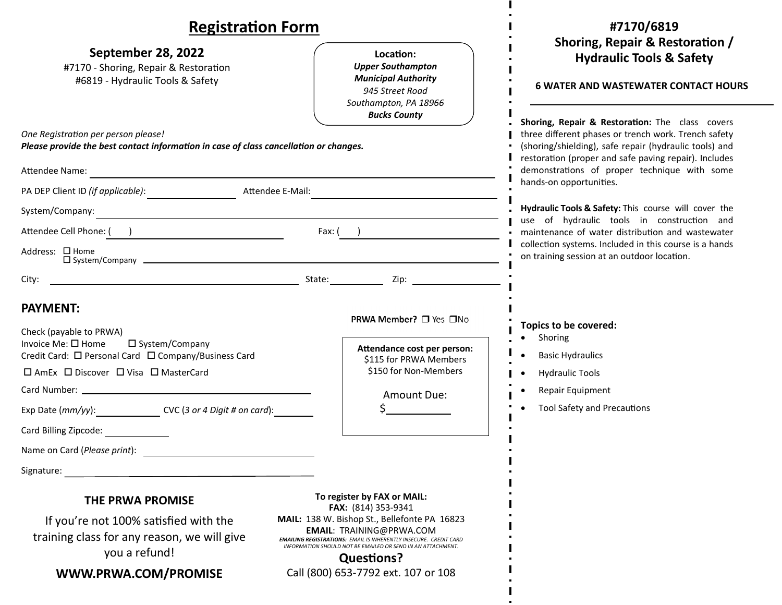| <b>Registration Form</b>                                                                                                                                                                                                                                                                                                                                                                                                                                                                                                                               | #7170/6819                                                                                                                                                                                                                                                                                            |
|--------------------------------------------------------------------------------------------------------------------------------------------------------------------------------------------------------------------------------------------------------------------------------------------------------------------------------------------------------------------------------------------------------------------------------------------------------------------------------------------------------------------------------------------------------|-------------------------------------------------------------------------------------------------------------------------------------------------------------------------------------------------------------------------------------------------------------------------------------------------------|
| September 28, 2022<br>Location:<br><b>Upper Southampton</b><br>#7170 - Shoring, Repair & Restoration<br><b>Municipal Authority</b><br>#6819 - Hydraulic Tools & Safety<br>945 Street Road<br>Southampton, PA 18966<br><b>Bucks County</b>                                                                                                                                                                                                                                                                                                              | Shoring, Repair & Restoration /<br><b>Hydraulic Tools &amp; Safety</b><br><b>6 WATER AND WASTEWATER CONTACT HOURS</b>                                                                                                                                                                                 |
| One Registration per person please!<br>Please provide the best contact information in case of class cancellation or changes.<br>Attendee Name:<br><u> 1980 - Andrea Andrew Maria (h. 1980).</u>                                                                                                                                                                                                                                                                                                                                                        | Shoring, Repair & Restoration: The class covers<br>three different phases or trench work. Trench safety<br>(shoring/shielding), safe repair (hydraulic tools) and<br>restoration (proper and safe paving repair). Includes<br>demonstrations of proper technique with some<br>hands-on opportunities. |
| Attendee E-Mail:<br>System/Company:<br><u> 1980 - Johann Barn, fransk politik (d. 1980)</u><br>Attendee Cell Phone: ( )<br>$Fax:$ ( )<br>Address: □ Home<br>$\square$ System/Company $\square$                                                                                                                                                                                                                                                                                                                                                         | Hydraulic Tools & Safety: This course will cover the<br>use of hydraulic tools in construction and<br>· maintenance of water distribution and wastewater<br>collection systems. Included in this course is a hands<br>on training session at an outdoor location.                                     |
| City:<br><b>PAYMENT:</b><br>PRWA Member? □ Yes □No<br>Check (payable to PRWA)<br>Invoice Me: $\square$ Home<br>□ System/Company<br>Attendance cost per person:<br>Credit Card: □ Personal Card □ Company/Business Card<br>\$115 for PRWA Members<br>\$150 for Non-Members<br>$\Box$ AmEx $\Box$ Discover $\Box$ Visa $\Box$ MasterCard<br>Amount Due:<br>Exp Date (mm/yy): CVC (3 or 4 Digit # on card):<br>Card Billing Zipcode:                                                                                                                      | Topics to be covered:<br>Shoring<br><b>Basic Hydraulics</b><br><b>Hydraulic Tools</b><br>Repair Equipment<br><b>Tool Safety and Precautions</b>                                                                                                                                                       |
| Name on Card (Please print):<br>Signature:<br>To register by FAX or MAIL:<br>THE PRWA PROMISE<br><b>FAX:</b> (814) 353-9341<br>MAIL: 138 W. Bishop St., Bellefonte PA 16823<br>If you're not 100% satisfied with the<br><b>EMAIL: TRAINING@PRWA.COM</b><br>training class for any reason, we will give<br><b>EMAILING REGISTRATIONS: EMAIL IS INHERENTLY INSECURE. CREDIT CARD</b><br>INFORMATION SHOULD NOT BE EMAILED OR SEND IN AN ATTACHMENT.<br>you a refund!<br><b>Questions?</b><br>Call (800) 653-7792 ext. 107 or 108<br>WWW.PRWA.COM/PROMISE |                                                                                                                                                                                                                                                                                                       |